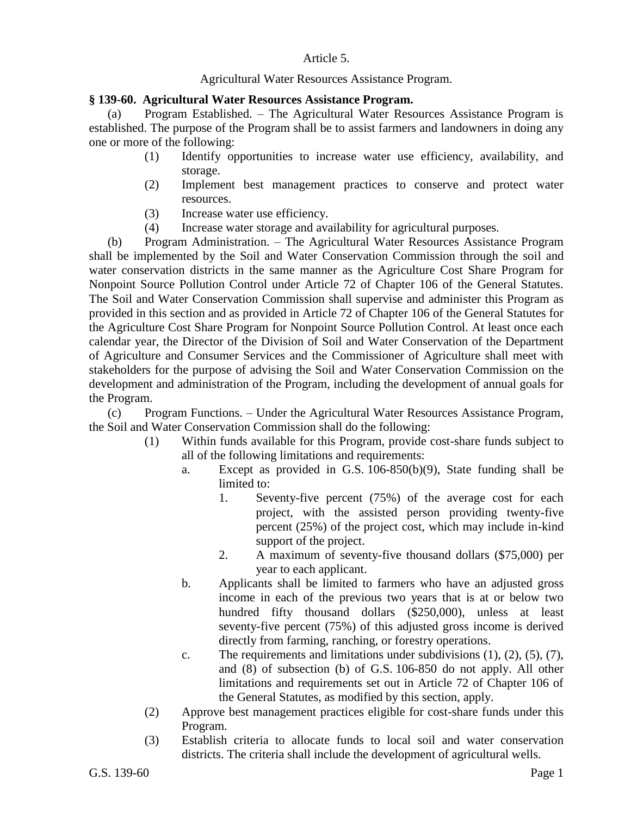## Article 5.

## Agricultural Water Resources Assistance Program.

## **§ 139-60. Agricultural Water Resources Assistance Program.**

(a) Program Established. – The Agricultural Water Resources Assistance Program is established. The purpose of the Program shall be to assist farmers and landowners in doing any one or more of the following:

- (1) Identify opportunities to increase water use efficiency, availability, and storage.
- (2) Implement best management practices to conserve and protect water resources.
- (3) Increase water use efficiency.
- (4) Increase water storage and availability for agricultural purposes.

(b) Program Administration. – The Agricultural Water Resources Assistance Program shall be implemented by the Soil and Water Conservation Commission through the soil and water conservation districts in the same manner as the Agriculture Cost Share Program for Nonpoint Source Pollution Control under Article 72 of Chapter 106 of the General Statutes. The Soil and Water Conservation Commission shall supervise and administer this Program as provided in this section and as provided in Article 72 of Chapter 106 of the General Statutes for the Agriculture Cost Share Program for Nonpoint Source Pollution Control. At least once each calendar year, the Director of the Division of Soil and Water Conservation of the Department of Agriculture and Consumer Services and the Commissioner of Agriculture shall meet with stakeholders for the purpose of advising the Soil and Water Conservation Commission on the development and administration of the Program, including the development of annual goals for the Program.

(c) Program Functions. – Under the Agricultural Water Resources Assistance Program, the Soil and Water Conservation Commission shall do the following:

- (1) Within funds available for this Program, provide cost-share funds subject to all of the following limitations and requirements:
	- a. Except as provided in G.S. 106-850(b)(9), State funding shall be limited to:
		- 1. Seventy-five percent (75%) of the average cost for each project, with the assisted person providing twenty-five percent (25%) of the project cost, which may include in-kind support of the project.
		- 2. A maximum of seventy-five thousand dollars (\$75,000) per year to each applicant.
	- b. Applicants shall be limited to farmers who have an adjusted gross income in each of the previous two years that is at or below two hundred fifty thousand dollars (\$250,000), unless at least seventy-five percent (75%) of this adjusted gross income is derived directly from farming, ranching, or forestry operations.
	- c. The requirements and limitations under subdivisions  $(1)$ ,  $(2)$ ,  $(5)$ ,  $(7)$ , and (8) of subsection (b) of G.S. 106-850 do not apply. All other limitations and requirements set out in Article 72 of Chapter 106 of the General Statutes, as modified by this section, apply.
- (2) Approve best management practices eligible for cost-share funds under this Program.
- (3) Establish criteria to allocate funds to local soil and water conservation districts. The criteria shall include the development of agricultural wells.